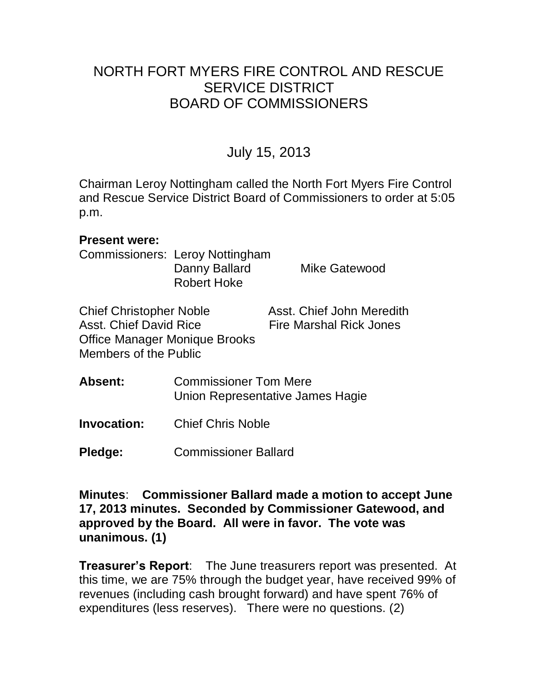# NORTH FORT MYERS FIRE CONTROL AND RESCUE SERVICE DISTRICT BOARD OF COMMISSIONERS

# July 15, 2013

Chairman Leroy Nottingham called the North Fort Myers Fire Control and Rescue Service District Board of Commissioners to order at 5:05 p.m.

#### **Present were:**

Commissioners: Leroy Nottingham Danny Ballard Mike Gatewood Robert Hoke

| <b>Chief Christopher Noble</b> | Asst. Chief John Meredith      |
|--------------------------------|--------------------------------|
| Asst. Chief David Rice         | <b>Fire Marshal Rick Jones</b> |
| Office Manager Monique Brooks  |                                |
| Members of the Public          |                                |

| <b>Absent:</b> | <b>Commissioner Tom Mere</b>     |
|----------------|----------------------------------|
|                | Union Representative James Hagie |

**Invocation:** Chief Chris Noble

**Pledge:** Commissioner Ballard

**Minutes**: **Commissioner Ballard made a motion to accept June 17, 2013 minutes. Seconded by Commissioner Gatewood, and approved by the Board. All were in favor. The vote was unanimous. (1)** 

**Treasurer's Report**: The June treasurers report was presented. At this time, we are 75% through the budget year, have received 99% of revenues (including cash brought forward) and have spent 76% of expenditures (less reserves). There were no questions. (2)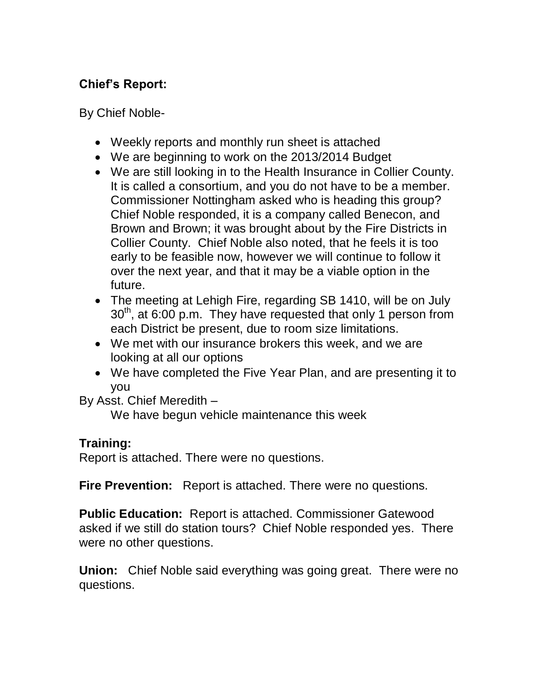## **Chief's Report:**

By Chief Noble-

- Weekly reports and monthly run sheet is attached
- We are beginning to work on the 2013/2014 Budget
- We are still looking in to the Health Insurance in Collier County. It is called a consortium, and you do not have to be a member. Commissioner Nottingham asked who is heading this group? Chief Noble responded, it is a company called Benecon, and Brown and Brown; it was brought about by the Fire Districts in Collier County. Chief Noble also noted, that he feels it is too early to be feasible now, however we will continue to follow it over the next year, and that it may be a viable option in the future.
- The meeting at Lehigh Fire, regarding SB 1410, will be on July  $30<sup>th</sup>$ , at 6:00 p.m. They have requested that only 1 person from each District be present, due to room size limitations.
- We met with our insurance brokers this week, and we are looking at all our options
- We have completed the Five Year Plan, and are presenting it to you

By Asst. Chief Meredith –

We have begun vehicle maintenance this week

### **Training:**

Report is attached. There were no questions.

**Fire Prevention:** Report is attached. There were no questions.

**Public Education:** Report is attached. Commissioner Gatewood asked if we still do station tours? Chief Noble responded yes. There were no other questions.

**Union:** Chief Noble said everything was going great.There were no questions.